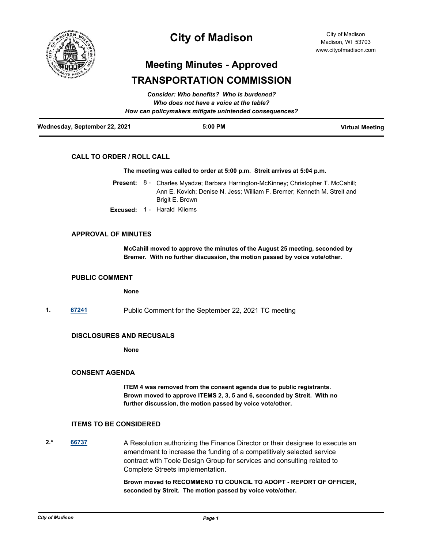

## **City of Madison**

# **Meeting Minutes - Approved TRANSPORTATION COMMISSION**

| Wednesday, September 22, 2021 | $5:00$ PM                                              | <b>Virtual Meeting</b> |
|-------------------------------|--------------------------------------------------------|------------------------|
|                               | How can policymakers mitigate unintended consequences? |                        |
|                               | Who does not have a voice at the table?                |                        |
|                               | Consider: Who benefits? Who is burdened?               |                        |

## **CALL TO ORDER / ROLL CALL**

#### **The meeting was called to order at 5:00 p.m. Streit arrives at 5:04 p.m.**

- Present: 8 Charles Myadze; Barbara Harrington-McKinney; Christopher T. McCahill; Ann E. Kovich; Denise N. Jess; William F. Bremer; Kenneth M. Streit and Brigit E. Brown
- **Excused:** 1 Harald Kliems

#### **APPROVAL OF MINUTES**

**McCahill moved to approve the minutes of the August 25 meeting, seconded by Bremer. With no further discussion, the motion passed by voice vote/other.**

#### **PUBLIC COMMENT**

**None**

**1. [67241](http://madison.legistar.com/gateway.aspx?m=l&id=/matter.aspx?key=79212)** Public Comment for the September 22, 2021 TC meeting

## **DISCLOSURES AND RECUSALS**

**None**

#### **CONSENT AGENDA**

**ITEM 4 was removed from the consent agenda due to public registrants. Brown moved to approve ITEMS 2, 3, 5 and 6, seconded by Streit. With no further discussion, the motion passed by voice vote/other.**

## **ITEMS TO BE CONSIDERED**

2.\* [66737](http://madison.legistar.com/gateway.aspx?m=l&id=/matter.aspx?key=78793) **66737** A Resolution authorizing the Finance Director or their designee to execute an amendment to increase the funding of a competitively selected service contract with Toole Design Group for services and consulting related to Complete Streets implementation.

> **Brown moved to RECOMMEND TO COUNCIL TO ADOPT - REPORT OF OFFICER, seconded by Streit. The motion passed by voice vote/other.**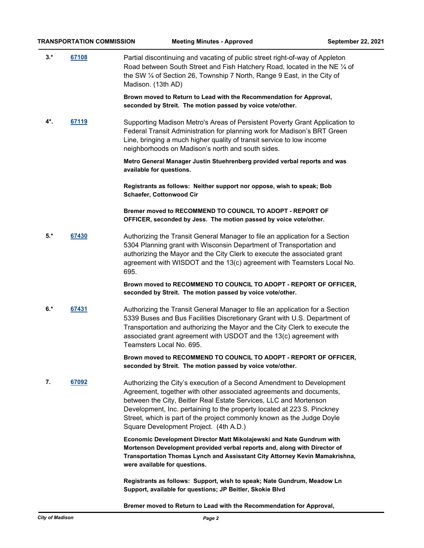**3.\* [67108](http://madison.legistar.com/gateway.aspx?m=l&id=/matter.aspx?key=79107)** Partial discontinuing and vacating of public street right-of-way of Appleton Road between South Street and Fish Hatchery Road, located in the NE ¼ of the SW ¼ of Section 26, Township 7 North, Range 9 East, in the City of Madison. (13th AD)

> **Brown moved to Return to Lead with the Recommendation for Approval, seconded by Streit. The motion passed by voice vote/other.**

**4\*. [67119](http://madison.legistar.com/gateway.aspx?m=l&id=/matter.aspx?key=79115)** Supporting Madison Metro's Areas of Persistent Poverty Grant Application to Federal Transit Administration for planning work for Madison's BRT Green Line, bringing a much higher quality of transit service to low income neighborhoods on Madison's north and south sides.

> **Metro General Manager Justin Stuehrenberg provided verbal reports and was available for questions.**

**Registrants as follows: Neither support nor oppose, wish to speak; Bob Schaefer, Cottonwood Cir**

**Bremer moved to RECOMMEND TO COUNCIL TO ADOPT - REPORT OF OFFICER, seconded by Jess. The motion passed by voice vote/other.**

**5.\* [67430](http://madison.legistar.com/gateway.aspx?m=l&id=/matter.aspx?key=79339)** Authorizing the Transit General Manager to file an application for a Section 5304 Planning grant with Wisconsin Department of Transportation and authorizing the Mayor and the City Clerk to execute the associated grant agreement with WISDOT and the 13(c) agreement with Teamsters Local No. 695.

> **Brown moved to RECOMMEND TO COUNCIL TO ADOPT - REPORT OF OFFICER, seconded by Streit. The motion passed by voice vote/other.**

**6.\* [67431](http://madison.legistar.com/gateway.aspx?m=l&id=/matter.aspx?key=79340)** Authorizing the Transit General Manager to file an application for a Section 5339 Buses and Bus Facilities Discretionary Grant with U.S. Department of Transportation and authorizing the Mayor and the City Clerk to execute the associated grant agreement with USDOT and the 13(c) agreement with Teamsters Local No. 695.

> **Brown moved to RECOMMEND TO COUNCIL TO ADOPT - REPORT OF OFFICER, seconded by Streit. The motion passed by voice vote/other.**

**7. [67092](http://madison.legistar.com/gateway.aspx?m=l&id=/matter.aspx?key=79091)** Authorizing the City's execution of a Second Amendment to Development Agreement, together with other associated agreements and documents, between the City, Beitler Real Estate Services, LLC and Mortenson Development, Inc. pertaining to the property located at 223 S. Pinckney Street, which is part of the project commonly known as the Judge Doyle Square Development Project. (4th A.D.)

> **Economic Development Director Matt Mikolajewski and Nate Gundrum with Mortenson Development provided verbal reports and, along with Director of Transportation Thomas Lynch and Assisstant City Attorney Kevin Mamakrishna, were available for questions.**

**Registrants as follows: Support, wish to speak; Nate Gundrum, Meadow Ln Support, available for questions; JP Beitler, Skokie Blvd**

**Bremer moved to Return to Lead with the Recommendation for Approval,**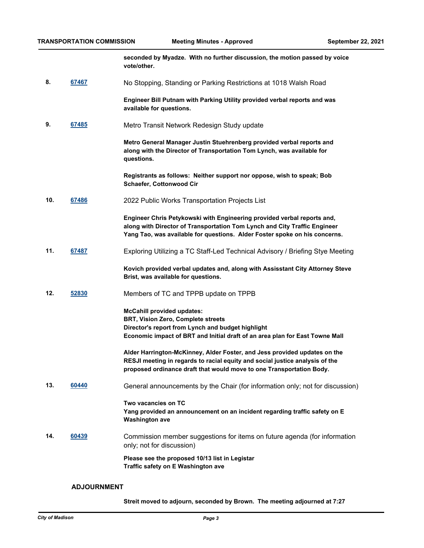**seconded by Myadze. With no further discussion, the motion passed by voice vote/other.**

**8. [67467](http://madison.legistar.com/gateway.aspx?m=l&id=/matter.aspx?key=79369)** No Stopping, Standing or Parking Restrictions at 1018 Walsh Road

**Engineer Bill Putnam with Parking Utility provided verbal reports and was available for questions.**

**9. [67485](http://madison.legistar.com/gateway.aspx?m=l&id=/matter.aspx?key=79382)** Metro Transit Network Redesign Study update

**Metro General Manager Justin Stuehrenberg provided verbal reports and along with the Director of Transportation Tom Lynch, was available for questions.** 

**Registrants as follows: Neither support nor oppose, wish to speak; Bob Schaefer, Cottonwood Cir**

**10. [67486](http://madison.legistar.com/gateway.aspx?m=l&id=/matter.aspx?key=79383)** 2022 Public Works Transportation Projects List

**Engineer Chris Petykowski with Engineering provided verbal reports and, along with Director of Transportation Tom Lynch and City Traffic Engineer Yang Tao, was available for questions. Alder Foster spoke on his concerns.**

**11. [67487](http://madison.legistar.com/gateway.aspx?m=l&id=/matter.aspx?key=79384)** Exploring Utilizing a TC Staff-Led Technical Advisory / Briefing Stye Meeting

**Kovich provided verbal updates and, along with Assisstant City Attorney Steve Brist, was available for questions.**

**12. [52830](http://madison.legistar.com/gateway.aspx?m=l&id=/matter.aspx?key=59483)** Members of TC and TPPB update on TPPB

**McCahill provided updates: BRT, Vision Zero, Complete streets Director's report from Lynch and budget highlight Economic impact of BRT and Initial draft of an area plan for East Towne Mall** 

**Alder Harrington-McKinney, Alder Foster, and Jess provided updates on the RESJI meeting in regards to racial equity and social justice analysis of the proposed ordinance draft that would move to one Transportation Body.**

**13. [60440](http://madison.legistar.com/gateway.aspx?m=l&id=/matter.aspx?key=71299)** General announcements by the Chair (for information only; not for discussion)

**Two vacancies on TC Yang provided an announcement on an incident regarding traffic safety on E Washington ave**

**14. [60439](http://madison.legistar.com/gateway.aspx?m=l&id=/matter.aspx?key=71298)** Commission member suggestions for items on future agenda (for information only; not for discussion)

> **Please see the proposed 10/13 list in Legistar Traffic safety on E Washington ave**

#### **ADJOURNMENT**

**Streit moved to adjourn, seconded by Brown. The meeting adjourned at 7:27**